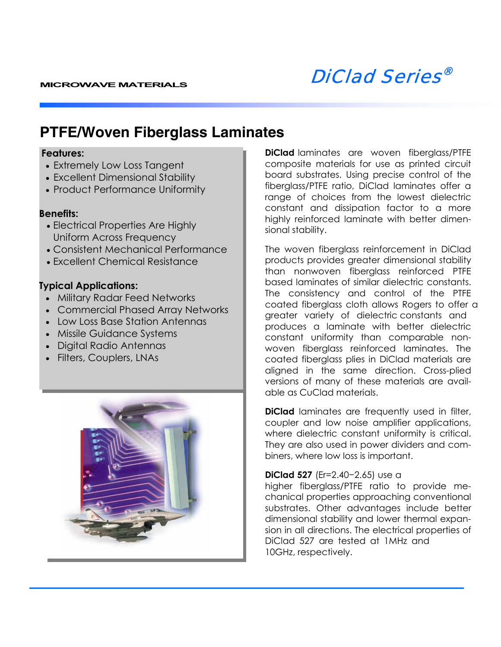

### **PTFE/Woven Fiberglass Laminates**

#### **Features:**

- Extremely Low Loss Tangent
- Excellent Dimensional Stability
- Product Performance Uniformity

#### **Benefits:**

- Electrical Properties Are Highly Uniform Across Frequency
- Consistent Mechanical Performance
- Excellent Chemical Resistance

#### **Typical Applications:**

- Military Radar Feed Networks
- Commercial Phased Array Networks
- Low Loss Base Station Antennas
- Missile Guidance Systems
- Digital Radio Antennas
- Filters, Couplers, LNAs



**DiClad** laminates are woven fiberglass/PTFE composite materials for use as printed circuit board substrates. Using precise control of the fiberglass/PTFE ratio, DiClad laminates offer a range of choices from the lowest dielectric constant and dissipation factor to a more highly reinforced laminate with better dimensional stability.

The woven fiberglass reinforcement in DiClad products provides greater dimensional stability than nonwoven fiberglass reinforced PTFE based laminates of similar dielectric constants. The consistency and control of the PTFE coated fiberglass cloth allows Rogers to offer a greater variety of dielectric constants and produces a laminate with better dielectric constant uniformity than comparable nonwoven fiberglass reinforced laminates. The coated fiberglass plies in DiClad materials are aligned in the same direction. Cross-plied versions of many of these materials are available as CuClad materials.

**DiClad** laminates are frequently used in filter, coupler and low noise amplifier applications, where dielectric constant uniformity is critical. They are also used in power dividers and combiners, where low loss is important.

#### **DiClad 527** (Er=2.40−2.65) use a

higher fiberglass/PTFE ratio to provide mechanical properties approaching conventional substrates. Other advantages include better dimensional stability and lower thermal expansion in all directions. The electrical properties of DiClad 527 are tested at 1MHz and 10GHz, respectively.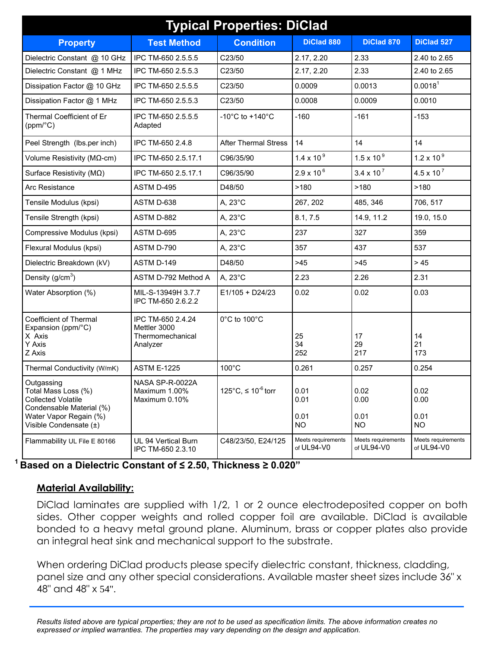| <b>Typical Properties: DiClad</b>                                                                                                              |                                                                   |                                       |                                  |                                  |                                   |
|------------------------------------------------------------------------------------------------------------------------------------------------|-------------------------------------------------------------------|---------------------------------------|----------------------------------|----------------------------------|-----------------------------------|
| <b>Property</b>                                                                                                                                | <b>Test Method</b>                                                | <b>Condition</b>                      | <b>DiClad 880</b>                | <b>DiClad 870</b>                | <b>DiClad 527</b>                 |
| Dielectric Constant @ 10 GHz                                                                                                                   | IPC TM-650 2.5.5.5                                                | C23/50                                | 2.17, 2.20                       | 2.33                             | 2.40 to 2.65                      |
| Dielectric Constant @ 1 MHz                                                                                                                    | IPC TM-650 2.5.5.3                                                | C23/50                                | 2.17, 2.20                       | 2.33                             | 2.40 to 2.65                      |
| Dissipation Factor @ 10 GHz                                                                                                                    | IPC TM-650 2.5.5.5                                                | C23/50                                | 0.0009                           | 0.0013                           | 0.0018 <sup>1</sup>               |
| Dissipation Factor @ 1 MHz                                                                                                                     | IPC TM-650 2.5.5.3                                                | C23/50                                | 0.0008                           | 0.0009                           | 0.0010                            |
| Thermal Coefficient of Er<br>(ppm/°C)                                                                                                          | IPC TM-650 2.5.5.5<br>Adapted                                     | -10 $^{\circ}$ C to +140 $^{\circ}$ C | $-160$                           | $-161$                           | $-153$                            |
| Peel Strength (lbs.per inch)                                                                                                                   | IPC TM-650 2.4.8                                                  | <b>After Thermal Stress</b>           | 14                               | 14                               | 14                                |
| Volume Resistivity ( $M\Omega$ -cm)                                                                                                            | IPC TM-650 2.5.17.1                                               | C96/35/90                             | $1.4 \times 10^{9}$              | $1.5 \times 10^{9}$              | $1.2 \times 10^{9}$               |
| Surface Resistivity ( $M\Omega$ )                                                                                                              | IPC TM-650 2.5.17.1                                               | C96/35/90                             | $2.9 \times 10^{6}$              | $3.4 \times 10^{7}$              | $4.5 \times 10^{7}$               |
| Arc Resistance                                                                                                                                 | ASTM D-495                                                        | D48/50                                | >180                             | >180                             | >180                              |
| Tensile Modulus (kpsi)                                                                                                                         | ASTM D-638                                                        | A, 23°C                               | 267, 202                         | 485, 346                         | 706, 517                          |
| Tensile Strength (kpsi)                                                                                                                        | ASTM D-882                                                        | A, 23°C                               | 8.1, 7.5                         | 14.9, 11.2                       | 19.0, 15.0                        |
| Compressive Modulus (kpsi)                                                                                                                     | ASTM D-695                                                        | A, 23°C                               | 237                              | 327                              | 359                               |
| Flexural Modulus (kpsi)                                                                                                                        | ASTM D-790                                                        | A, 23°C                               | 357                              | 437                              | 537                               |
| Dielectric Breakdown (kV)                                                                                                                      | ASTM D-149                                                        | D48/50                                | $>45$                            | $>45$                            | >45                               |
| Density ( $g/cm3$ )                                                                                                                            | ASTM D-792 Method A                                               | A, 23°C                               | 2.23                             | 2.26                             | 2.31                              |
| Water Absorption (%)                                                                                                                           | MIL-S-13949H 3.7.7<br>IPC TM-650 2.6.2.2                          | E1/105 + D24/23                       | 0.02                             | 0.02                             | 0.03                              |
| <b>Coefficient of Thermal</b><br>Expansion (ppm/°C)<br>X Axis<br>Y Axis<br>Z Axis                                                              | IPC TM-650 2.4.24<br>Mettler 3000<br>Thermomechanical<br>Analyzer | 0°C to 100°C                          | 25<br>34<br>252                  | 17<br>29<br>217                  | 14<br>21<br>173                   |
| Thermal Conductivity (W/mK)                                                                                                                    | <b>ASTM E-1225</b>                                                | $100^{\circ}$ C                       | 0.261                            | 0.257                            | 0.254                             |
| Outgassing<br>Total Mass Loss (%)<br><b>Collected Volatile</b><br>Condensable Material (%)<br>Water Vapor Regain (%)<br>Visible Condensate (±) | NASA SP-R-0022A<br>Maximum 1.00%<br>Maximum 0.10%                 | 125°C, ≤ 10 <sup>-6</sup> torr        | 0.01<br>0.01<br>0.01<br>NO.      | 0.02<br>0.00<br>0.01<br>NO.      | 0.02<br>0.00<br>0.01<br><b>NO</b> |
| Flammability UL File E 80166                                                                                                                   | UL 94 Vertical Burn<br>IPC TM-650 2.3.10                          | C48/23/50, E24/125                    | Meets requirements<br>of UL94-V0 | Meets requirements<br>of UL94-V0 | Meets requirements<br>of UL94-V0  |

**1 Based on a Dielectric Constant of ≤ 2.50, Thickness ≥ 0.020"** 

### **Material Availability:**

DiClad laminates are supplied with 1/2, 1 or 2 ounce electrodeposited copper on both sides. Other copper weights and rolled copper foil are available. DiClad is available bonded to a heavy metal ground plane. Aluminum, brass or copper plates also provide an integral heat sink and mechanical support to the substrate.

When ordering DiClad products please specify dielectric constant, thickness, cladding, panel size and any other special considerations. Available master sheet sizes include 36" x 48" and 48" x 54".

*Results listed above are typical properties; they are not to be used as specification limits. The above information creates no expressed or implied warranties. The properties may vary depending on the design and application.*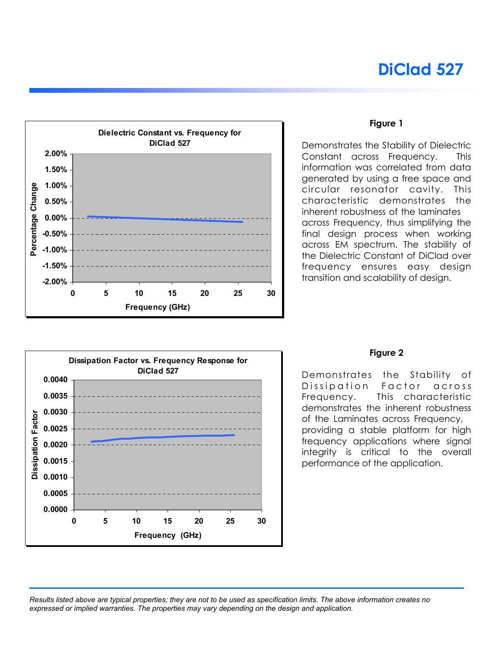# **DiClad 527**



#### **Figure 1**

Demonstrates the Stability of Dielectric Constant across Frequency. This information was correlated from data generated by using a free space and circular resonator cavity. This characteristic demonstrates the inherent robustness of the laminates across Frequency, thus simplifying the final design process when working across EM spectrum. The stability of the Dielectric Constant of DiClad over frequency ensures easy design transition and scalability of design.



#### **Figure 2**

Demonstrates the Stability of Dissipation Factor across Frequency. This characteristic demonstrates the inherent robustness of the Laminates across Frequency, providing a stable platform for high frequency applications where signal integrity is critical to the overall performance of the application.

*Results listed above are typical properties; they are not to be used as specification limits. The above information creates no expressed or implied warranties. The properties may vary depending on the design and application.*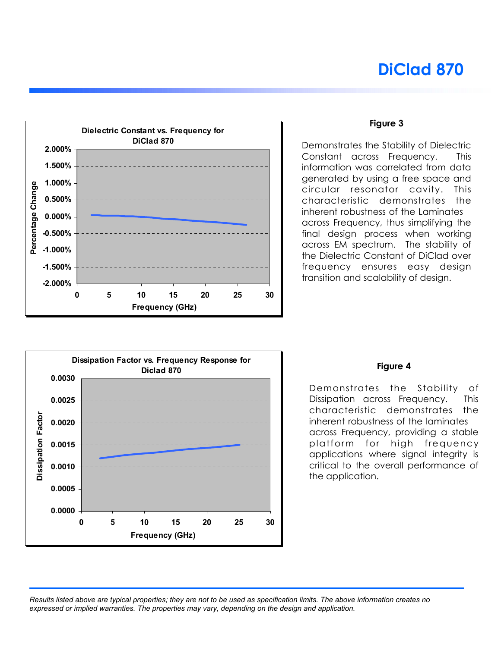# **DiClad 870**



#### **Figure 3**

Demonstrates the Stability of Dielectric Constant across Frequency. This information was correlated from data generated by using a free space and circular resonator cavity. This characteristic demonstrates the inherent robustness of the Laminates across Frequency, thus simplifying the final design process when working across EM spectrum. The stability of the Dielectric Constant of DiClad over frequency ensures easy design transition and scalability of design.



#### **Figure 4**

Demonstrates the Stability of Dissipation across Frequency. This characteristic demonstrates the inherent robustness of the laminates across Frequency, providing a stable platform for high frequency applications where signal integrity is critical to the overall performance of the application.

*Results listed above are typical properties; they are not to be used as specification limits. The above information creates no expressed or implied warranties. The properties may vary, depending on the design and application.*